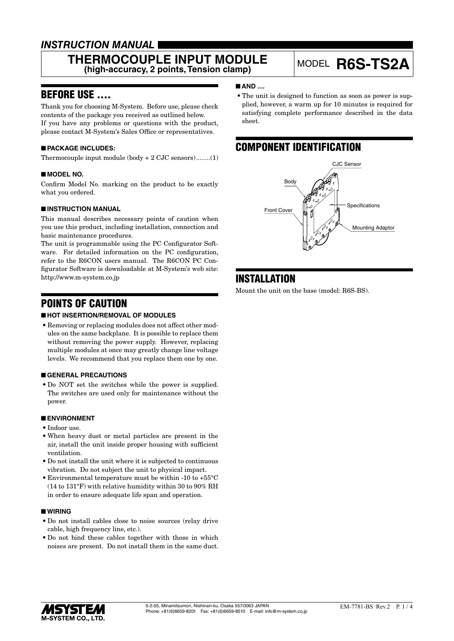# *INSTRUCTION MANUAL*

# **THERMOCOUPLE INPUT MODULE ERMOCOUPLE INPUT MODULE** MODEL **R6S-TS2A**<br>(high-accuracy, 2 points, Tension clamp)

# BEFORE USE ....

Thank you for choosing M-System. Before use, please check contents of the package you received as outlined below. If you have any problems or questions with the product, please contact M-System's Sales Office or representatives.

### ■ **PACKAGE INCLUDES:**

Thermocouple input module (body + 2 CJC sensors)........(1)

### ■ **MODEL NO.**

Confirm Model No. marking on the product to be exactly what you ordered.

### ■ **INSTRUCTION MANUAL**

This manual describes necessary points of caution when you use this product, including installation, connection and basic maintenance procedures.

The unit is programmable using the PC Configurator Software. For detailed information on the PC configuration, refer to the R6CON users manual. The R6CON PC Configurator Software is downloadable at M-System's web site: http://www.m-system.co.jp

# POINTS OF CAUTION

### ■ **HOT INSERTION/REMOVAL OF MODULES**

• Removing or replacing modules does not affect other modules on the same backplane. It is possible to replace them without removing the power supply. However, replacing multiple modules at once may greatly change line voltage levels. We recommend that you replace them one by one.

### ■ **GENERAL PRECAUTIONS**

• Do NOT set the switches while the power is supplied. The switches are used only for maintenance without the power.

### ■ **ENVIRONMENT**

- • Indoor use.
- When heavy dust or metal particles are present in the air, install the unit inside proper housing with sufficient ventilation.
- • Do not install the unit where it is subjected to continuous vibration. Do not subject the unit to physical impact.
- Environmental temperature must be within -10 to +55 $^{\circ}$ C (14 to 131°F) with relative humidity within 30 to 90% RH in order to ensure adequate life span and operation.

#### ■ **WIRING**

- • Do not install cables close to noise sources (relay drive cable, high frequency line, etc.).
- • Do not bind these cables together with those in which noises are present. Do not install them in the same duct.

### ■ **AND** ....

• The unit is designed to function as soon as power is supplied, however, a warm up for 10 minutes is required for satisfying complete performance described in the data sheet.

# COMPONENT IDENTIFICATION



# INSTALLATION

Mount the unit on the base (model: R6S-BS).

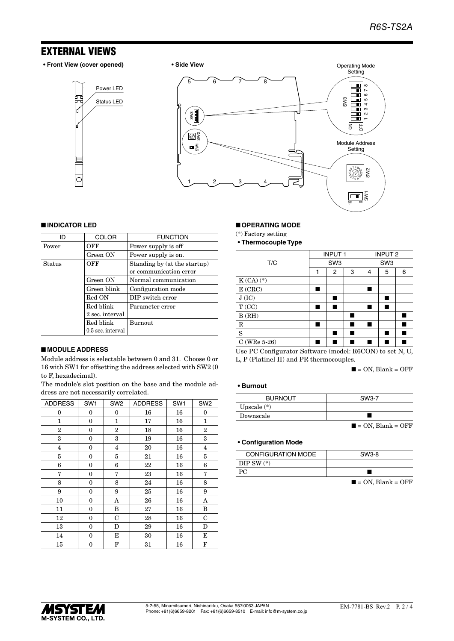# EXTERNAL VIEWS

**• Front View (cover opened) • Side View**

Status LED Power LED





#### ■ **INDICATOR LED**

| ID     | <b>COLOR</b>      | <b>FUNCTION</b>                                        |
|--------|-------------------|--------------------------------------------------------|
| Power  | OFF               | Power supply is off                                    |
|        | Green ON          | Power supply is on.                                    |
| Status | OFF               | Standing by (at the startup)<br>or communication error |
|        | Green ON          | Normal communication                                   |
|        | Green blink       | Configuration mode                                     |
|        | Red ON            | DIP switch error                                       |
|        | Red blink         | Parameter error                                        |
|        | 2 sec. interval   |                                                        |
|        | Red blink         | <b>Burnout</b>                                         |
|        | 0.5 sec. interval |                                                        |

## ■ **MODULE ADDRESS**

Module address is selectable between 0 and 31. Choose 0 or 16 with SW1 for offsetting the address selected with SW2 (0 to F, hexadecimal).

The module's slot position on the base and the module address are not necessarily correlated.

| <b>ADDRESS</b>          | SW <sub>1</sub> | SW <sub>2</sub> | <b>ADDRESS</b> | SW <sub>1</sub> | SW <sub>2</sub> |
|-------------------------|-----------------|-----------------|----------------|-----------------|-----------------|
| 0                       | 0               | 0               | 16             | 16              | 0               |
| 1                       | 0               | 1               | 17             | 16              | 1               |
| 2                       | $\mathbf{0}$    | 2               | 18             | 16              | $\overline{2}$  |
| 3                       | 0               | 3               | 19             | 16              | 3               |
| $\overline{\mathbf{4}}$ | 0               | 4               | 20             | 16              | $\overline{4}$  |
| 5                       | 0               | 5               | 21             | 16              | 5               |
| 6                       | 0               | 6               | 22             | 16              | 6               |
| 7                       | $\mathbf{0}$    | 7               | 23             | 16              | 7               |
| 8                       | $\mathbf{0}$    | 8               | 24             | 16              | 8               |
| 9                       | $\mathbf{0}$    | 9               | 25             | 16              | 9               |
| 10                      | 0               | A               | 26             | 16              | A               |
| 11                      | 0               | B               | 27             | 16              | B               |
| 12                      | 0               | $\mathbf C$     | 28             | 16              | C               |
| 13                      | 0               | D               | 29             | 16              | D               |
| 14                      | 0               | E               | 30             | 16              | Е               |
| 15                      | 0               | F               | 31             | 16              | F               |

#### ■ **OPERATING MODE**

(\*) Factory setting

**• Thermocouple Type**

|                 |   | <b>INPUT1</b>   |   | <b>INPUT 2</b>  |   |   |
|-----------------|---|-----------------|---|-----------------|---|---|
| T/C             |   | SW <sub>3</sub> |   | SW <sub>3</sub> |   |   |
|                 | 1 | 2               | 3 | 4               | 5 | 6 |
| $K(CA)$ $(*)$   |   |                 |   |                 |   |   |
| E(CRC)          |   |                 |   |                 |   |   |
| J(IC)           |   |                 |   |                 |   |   |
| T(CC)           |   |                 |   |                 |   |   |
| B(RH)           |   |                 |   |                 |   |   |
| $\mathbf R$     |   |                 |   |                 |   |   |
| S               |   |                 |   |                 |   |   |
| C (WRe $5-26$ ) |   |                 |   |                 |   |   |

Use PC Configurator Software (model: R6CON) to set N, U, L, P (Platinel II) and PR thermocouples.

 $\blacksquare$  = ON, Blank = OFF

#### **• Burnout**

| <b>BURNOUT</b> | SW3-7                            |
|----------------|----------------------------------|
| Upscale $(*)$  |                                  |
| Downscale      |                                  |
|                | $\blacksquare$ = ON, Blank = OFF |

#### **• Configuration Mode**

| <b>CONFIGURATION MODE</b> | SW3-8                            |
|---------------------------|----------------------------------|
| DIP SW $(*)$              |                                  |
| РC                        |                                  |
|                           | $\blacksquare$ = ON, Blank = OFF |

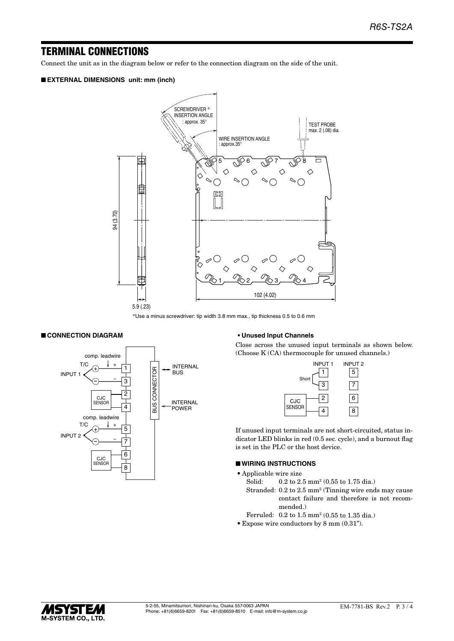# TERMINAL CONNECTIONS

Connect the unit as in the diagram below or refer to the connection diagram on the side of the unit.

### ■ **EXTERNAL DIMENSIONS unit: mm (inch)**



\*Use a minus screwdriver: tip width 3.8 mm max., tip thickness 0.5 to 0.6 mm

#### ■ **CONNECTION DIAGRAM**



#### **• Unused Input Channels**

Close across the unused input terminals as shown below. (Choose K (CA) thermocouple for unused channels.)

| <b>INPUT1</b> |   | <b>INPUT 2</b><br>5 |
|---------------|---|---------------------|
| Short         | з |                     |
| <b>CJC</b>    | 2 | 6                   |
| <b>SENSOR</b> |   | 8                   |

If unused input terminals are not short-circuited, status indicator LED blinks in red (0.5 sec. cycle), and a burnout flag is set in the PLC or the host device.

### ■ **WIRING INSTRUCTIONS**

- • Applicable wire size
- Solid: 0.2 to 2.5 mm<sup>2</sup> (0.55 to 1.75 dia.)
- Stranded: 0.2 to 2.5 mm2 (Tinning wire ends may cause contact failure and therefore is not recommended.)
- Ferruled: 0.2 to 1.5 mm2 (0.55 to 1.35 dia.)
- • Expose wire conductors by 8 mm (0.31").